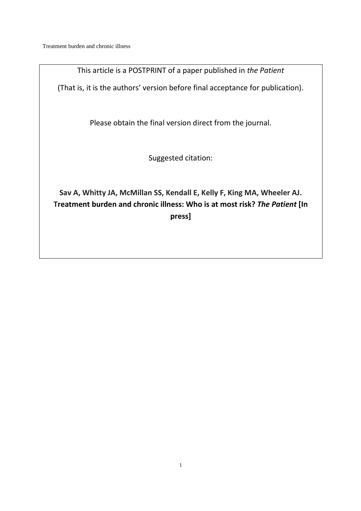This article is a POSTPRINT of a paper published in *the Patient*

(That is, it is the authors' version before final acceptance for publication).

Please obtain the final version direct from the journal.

Suggested citation:

**Sav A, Whitty JA, McMillan SS, Kendall E, Kelly F, King MA, Wheeler AJ. Treatment burden and chronic illness: Who is at most risk?** *The Patient* **[In press]**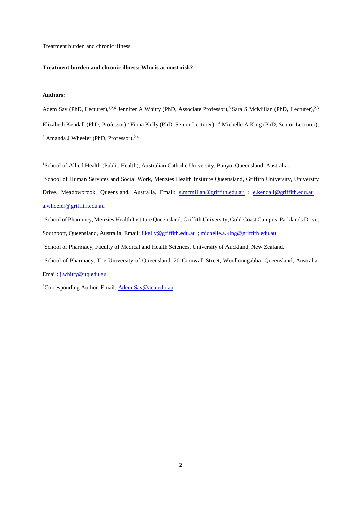## **Treatment burden and chronic illness: Who is at most risk?**

## **Authors:**

Adem Sav (PhD, Lecturer),<sup>1,2,6</sup> Jennifer A Whitty (PhD, Associate Professor),<sup>5</sup> Sara S McMillan (PhD, Lecturer),<sup>2,3</sup> Elizabeth Kendall (PhD, Professor),<sup>2</sup>Fiona Kelly (PhD, Senior Lecturer),<sup>3,4</sup> Michelle A King (PhD, Senior Lecturer), <sup>3</sup> Amanda J Wheeler (PhD, Professor).<sup>2,4</sup>

<sup>1</sup>School of Allied Health (Public Health), Australian Catholic University, Banyo, Queensland, Australia.

<sup>2</sup>School of Human Services and Social Work, Menzies Health Institute Queensland, Griffith University, University Drive, Meadowbrook, Queensland, Australia. Email: s.mcmillan@griffith.edu.au ; e.kendall@griffith.edu.au ; a.wheeler@griffith.edu.au

<sup>3</sup>School of Pharmacy, Menzies Health Institute Queensland, Griffith University, Gold Coast Campus, Parklands Drive, Southport, Queensland, Australia. Email: f.kelly@griffith.edu.au ; michelle.a.king@griffith.edu.au <sup>4</sup>School of Pharmacy, Faculty of Medical and Health Sciences, University of Auckland, New Zealand. <sup>5</sup>School of Pharmacy, The University of Queensland, 20 Cornwall Street, Woolloongabba, Queensland, Australia. Email: j.whitty@uq.edu.au

6Corresponding Author. Email: Adem.Sav@acu.edu.au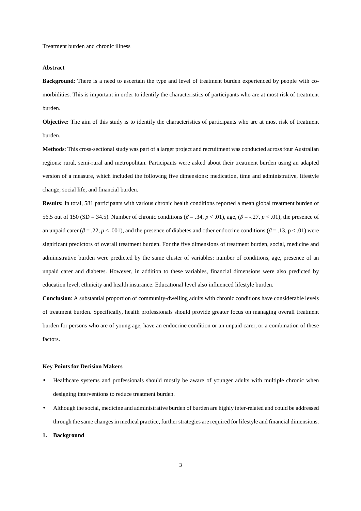#### **Abstract**

**Background**: There is a need to ascertain the type and level of treatment burden experienced by people with comorbidities. This is important in order to identify the characteristics of participants who are at most risk of treatment burden.

**Objective:** The aim of this study is to identify the characteristics of participants who are at most risk of treatment burden.

**Methods**: This cross-sectional study was part of a larger project and recruitment was conducted across four Australian regions: rural, semi-rural and metropolitan. Participants were asked about their treatment burden using an adapted version of a measure, which included the following five dimensions: medication, time and administrative, lifestyle change, social life, and financial burden.

**Results:** In total, 581 participants with various chronic health conditions reported a mean global treatment burden of 56.5 out of 150 (SD = 34.5). Number of chronic conditions (*β* = .34, *p* < .01), age, (*β* = -.27, *p* < .01), the presence of an unpaid carer ( $\beta = .22$ ,  $p < .001$ ), and the presence of diabetes and other endocrine conditions ( $\beta = .13$ , p < .01) were significant predictors of overall treatment burden. For the five dimensions of treatment burden, social, medicine and administrative burden were predicted by the same cluster of variables: number of conditions, age, presence of an unpaid carer and diabetes. However, in addition to these variables, financial dimensions were also predicted by education level, ethnicity and health insurance. Educational level also influenced lifestyle burden.

**Conclusion**: A substantial proportion of community-dwelling adults with chronic conditions have considerable levels of treatment burden. Specifically, health professionals should provide greater focus on managing overall treatment burden for persons who are of young age, have an endocrine condition or an unpaid carer, or a combination of these factors.

### **Key Points for Decision Makers**

- Healthcare systems and professionals should mostly be aware of younger adults with multiple chronic when designing interventions to reduce treatment burden.
- Although the social, medicine and administrative burden of burden are highly inter-related and could be addressed through the same changes in medical practice, further strategies are required for lifestyle and financial dimensions.
- **1. Background**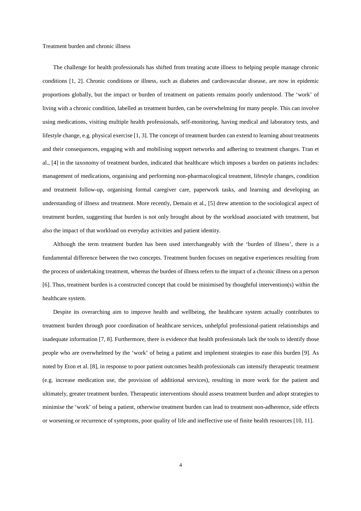The challenge for health professionals has shifted from treating acute illness to helping people manage chronic conditions [1, 2]. Chronic conditions or illness, such as diabetes and cardiovascular disease, are now in epidemic proportions globally, but the impact or burden of treatment on patients remains poorly understood. The 'work' of living with a chronic condition, labelled as treatment burden, can be overwhelming for many people. This can involve using medications, visiting multiple health professionals, self-monitoring, having medical and laboratory tests, and lifestyle change, e.g. physical exercise [1, 3]. The concept of treatment burden can extend to learning about treatments and their consequences, engaging with and mobilising support networks and adhering to treatment changes. Tran et al., [4] in the taxonomy of treatment burden, indicated that healthcare which imposes a burden on patients includes: management of medications, organising and performing non-pharmacological treatment, lifestyle changes, condition and treatment follow-up, organising formal caregiver care, paperwork tasks, and learning and developing an understanding of illness and treatment. More recently, Demain et al., [5] drew attention to the sociological aspect of treatment burden, suggesting that burden is not only brought about by the workload associated with treatment, but also the impact of that workload on everyday activities and patient identity.

Although the term treatment burden has been used interchangeably with the 'burden of illness', there is a fundamental difference between the two concepts. Treatment burden focuses on negative experiences resulting from the process of undertaking treatment, whereas the burden of illness refers to the impact of a chronic illness on a person [6]. Thus, treatment burden is a constructed concept that could be minimised by thoughtful intervention(s) within the healthcare system.

Despite its overarching aim to improve health and wellbeing, the healthcare system actually contributes to treatment burden through poor coordination of healthcare services, unhelpful professional-patient relationships and inadequate information [7, 8]. Furthermore, there is evidence that health professionals lack the tools to identify those people who are overwhelmed by the 'work' of being a patient and implement strategies to ease this burden [9]. As noted by Eton et al. [8], in response to poor patient outcomes health professionals can intensify therapeutic treatment (e.g. increase medication use, the provision of additional services), resulting in more work for the patient and ultimately, greater treatment burden. Therapeutic interventions should assess treatment burden and adopt strategies to minimise the 'work' of being a patient, otherwise treatment burden can lead to treatment non-adherence, side effects or worsening or recurrence of symptoms, poor quality of life and ineffective use of finite health resources [10, 11].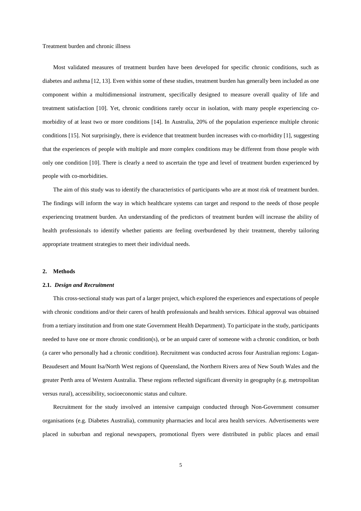Most validated measures of treatment burden have been developed for specific chronic conditions, such as diabetes and asthma [12, 13]. Even within some of these studies, treatment burden has generally been included as one component within a multidimensional instrument, specifically designed to measure overall quality of life and treatment satisfaction [10]. Yet, chronic conditions rarely occur in isolation, with many people experiencing comorbidity of at least two or more conditions [14]. In Australia, 20% of the population experience multiple chronic conditions [15]. Not surprisingly, there is evidence that treatment burden increases with co-morbidity [1], suggesting that the experiences of people with multiple and more complex conditions may be different from those people with only one condition [10]. There is clearly a need to ascertain the type and level of treatment burden experienced by people with co-morbidities.

The aim of this study was to identify the characteristics of participants who are at most risk of treatment burden. The findings will inform the way in which healthcare systems can target and respond to the needs of those people experiencing treatment burden. An understanding of the predictors of treatment burden will increase the ability of health professionals to identify whether patients are feeling overburdened by their treatment, thereby tailoring appropriate treatment strategies to meet their individual needs.

## **2. Methods**

# **2.1.** *Design and Recruitment*

This cross-sectional study was part of a larger project, which explored the experiences and expectations of people with chronic conditions and/or their carers of health professionals and health services. Ethical approval was obtained from a tertiary institution and from one state Government Health Department). To participate in the study, participants needed to have one or more chronic condition(s), or be an unpaid carer of someone with a chronic condition, or both (a carer who personally had a chronic condition). Recruitment was conducted across four Australian regions: Logan-Beaudesert and Mount Isa/North West regions of Queensland, the Northern Rivers area of New South Wales and the greater Perth area of Western Australia. These regions reflected significant diversity in geography (e.g. metropolitan versus rural), accessibility, socioeconomic status and culture.

Recruitment for the study involved an intensive campaign conducted through Non-Government consumer organisations (e.g. Diabetes Australia), community pharmacies and local area health services. Advertisements were placed in suburban and regional newspapers, promotional flyers were distributed in public places and email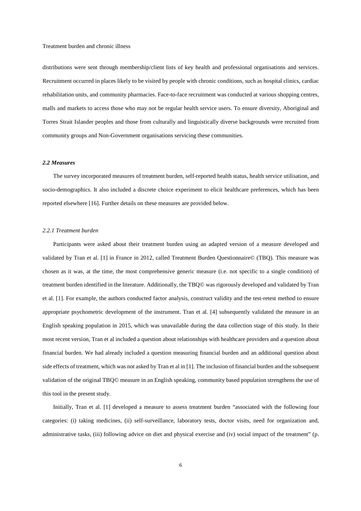distributions were sent through membership/client lists of key health and professional organisations and services. Recruitment occurred in places likely to be visited by people with chronic conditions, such as hospital clinics, cardiac rehabilitation units, and community pharmacies. Face-to-face recruitment was conducted at various shopping centres, malls and markets to access those who may not be regular health service users. To ensure diversity, Aboriginal and Torres Strait Islander peoples and those from culturally and linguistically diverse backgrounds were recruited from community groups and Non-Government organisations servicing these communities.

# *2.2 Measures*

The survey incorporated measures of treatment burden, self-reported health status, health service utilisation, and socio-demographics. It also included a discrete choice experiment to elicit healthcare preferences, which has been reported elsewhere [16]. Further details on these measures are provided below.

## *2.2.1 Treatment burden*

Participants were asked about their treatment burden using an adapted version of a measure developed and validated by Tran et al. [1] in France in 2012, called Treatment Burden Questionnaire© (TBQ). This measure was chosen as it was, at the time, the most comprehensive generic measure (i.e. not specific to a single condition) of treatment burden identified in the literature. Additionally, the TBQ© was rigorously developed and validated by Tran et al. [1]. For example, the authors conducted factor analysis, construct validity and the test-retest method to ensure appropriate psychometric development of the instrument. Tran et al. [4] subsequently validated the measure in an English speaking population in 2015, which was unavailable during the data collection stage of this study. In their most recent version, Tran et al included a question about relationships with healthcare providers and a question about financial burden. We had already included a question measuring financial burden and an additional question about side effects of treatment, which was not asked by Tran et al in [1]. The inclusion of financial burden and the subsequent validation of the original TBQ© measure in an English speaking, community based population strengthens the use of this tool in the present study.

Initially, Tran et al. [1] developed a measure to assess treatment burden "associated with the following four categories: (i) taking medicines, (ii) self-surveillance, laboratory tests, doctor visits, need for organization and, administrative tasks, (iii) following advice on diet and physical exercise and (iv) social impact of the treatment" (p.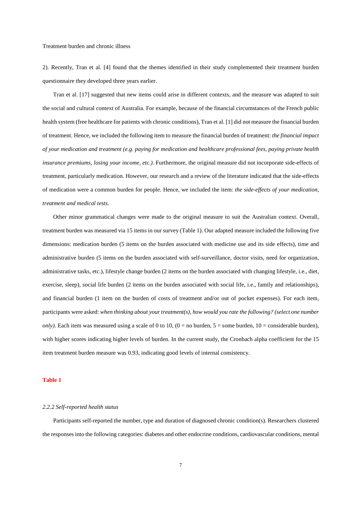2). Recently, Tran et al. [4] found that the themes identified in their study complemented their treatment burden questionnaire they developed three years earlier.

Tran et al. [17] suggested that new items could arise in different contexts, and the measure was adapted to suit the social and cultural context of Australia. For example, because of the financial circumstances of the French public health system (free healthcare for patients with chronic conditions), Tran et al. [1] did not measure the financial burden of treatment. Hence, we included the following item to measure the financial burden of treatment: *the financial impact of your medication and treatment (e.g. paying for medication and healthcare professional fees, paying private health insurance premiums, losing your income, etc.)*. Furthermore, the original measure did not incorporate side-effects of treatment, particularly medication. However, our research and a review of the literature indicated that the side-effects of medication were a common burden for people. Hence, we included the item: *the side-effects of your medication, treatment and medical tests.*

Other minor grammatical changes were made to the original measure to suit the Australian context. Overall, treatment burden was measured via 15 items in our survey (Table 1). Our adapted measure included the following five dimensions: medication burden (5 items on the burden associated with medicine use and its side effects), time and administrative burden (5 items on the burden associated with self-surveillance, doctor visits, need for organization, administrative tasks, etc.), lifestyle change burden (2 items on the burden associated with changing lifestyle, i.e., diet, exercise, sleep), social life burden (2 items on the burden associated with social life, i.e., family and relationships), and financial burden (1 item on the burden of costs of treatment and/or out of pocket expenses). For each item, participants were asked: *when thinking about your treatment(s), how would you rate the following? (select one number only*). Each item was measured using a scale of 0 to 10,  $(0 = no$  burden,  $5 = some$  burden,  $10 = considerable$  burden), with higher scores indicating higher levels of burden. In the current study, the Cronbach alpha coefficient for the 15 item treatment burden measure was 0.93, indicating good levels of internal consistency.

## **Table 1**

## *2.2.2 Self-reported health status*

Participants self-reported the number, type and duration of diagnosed chronic condition(s). Researchers clustered the responses into the following categories: diabetes and other endocrine conditions, cardiovascular conditions, mental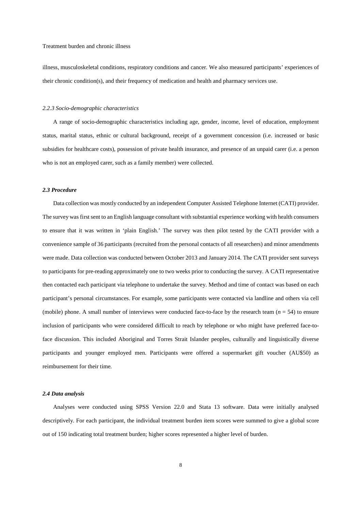illness, musculoskeletal conditions, respiratory conditions and cancer. We also measured participants' experiences of their chronic condition(s), and their frequency of medication and health and pharmacy services use.

#### *2.2.3 Socio-demographic characteristics*

A range of socio-demographic characteristics including age, gender, income, level of education, employment status, marital status, ethnic or cultural background, receipt of a government concession (i.e. increased or basic subsidies for healthcare costs), possession of private health insurance, and presence of an unpaid carer (i.e. a person who is not an employed carer, such as a family member) were collected.

## *2.3 Procedure*

Data collection was mostly conducted by an independent Computer Assisted Telephone Internet (CATI) provider. The survey was first sent to an English language consultant with substantial experience working with health consumers to ensure that it was written in 'plain English.' The survey was then pilot tested by the CATI provider with a convenience sample of 36 participants (recruited from the personal contacts of all researchers) and minor amendments were made. Data collection was conducted between October 2013 and January 2014. The CATI provider sent surveys to participants for pre-reading approximately one to two weeks prior to conducting the survey. A CATI representative then contacted each participant via telephone to undertake the survey. Method and time of contact was based on each participant's personal circumstances. For example, some participants were contacted via landline and others via cell (mobile) phone. A small number of interviews were conducted face-to-face by the research team (*n* = 54) to ensure inclusion of participants who were considered difficult to reach by telephone or who might have preferred face-toface discussion. This included Aboriginal and Torres Strait Islander peoples, culturally and linguistically diverse participants and younger employed men. Participants were offered a supermarket gift voucher (AU\$50) as reimbursement for their time*.* 

## *2.4 Data analysis*

Analyses were conducted using SPSS Version 22.0 and Stata 13 software. Data were initially analysed descriptively. For each participant, the individual treatment burden item scores were summed to give a global score out of 150 indicating total treatment burden; higher scores represented a higher level of burden.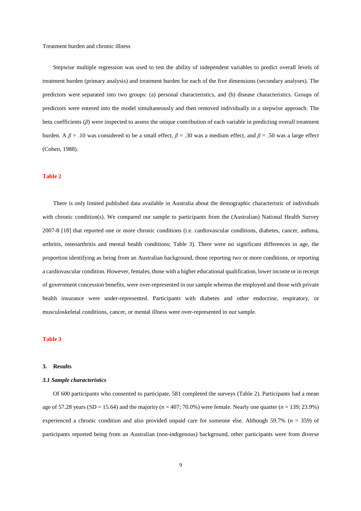Stepwise multiple regression was used to test the ability of independent variables to predict overall levels of treatment burden (primary analysis) and treatment burden for each of the five dimensions (secondary analyses). The predictors were separated into two groups: (a) personal characteristics, and (b) disease characteristics. Groups of predictors were entered into the model simultaneously and then removed individually in a stepwise approach. The beta coefficients (*β*) were inspected to assess the unique contribution of each variable in predicting overall treatment burden. A *β* = .10 was considered to be a small effect, *β* = .30 was a medium effect, and *β* = .50 was a large effect (Cohen, 1988).

# **Table 2**

There is only limited published data available in Australia about the demographic characteristic of individuals with chronic condition(s). We compared our sample to participants from the (Australian) National Health Survey 2007-8 [18] that reported one or more chronic conditions (i.e. cardiovascular conditions, diabetes, cancer, asthma, arthritis, osteoarthritis and mental health conditions; Table 3). There were no significant differences in age, the proportion identifying as being from an Australian background, those reporting two or more conditions, or reporting a cardiovascular condition. However, females, those with a higher educational qualification, lower income or in receipt of government concession benefits, were over-represented in our sample whereas the employed and those with private health insurance were under-represented. Participants with diabetes and other endocrine, respiratory, or musculoskeletal conditions, cancer, or mental illness were over-represented in our sample.

# **Table 3**

### **3. Results**

### *3.1 Sample characteristics*

Of 600 participants who consented to participate, 581 completed the surveys (Table 2). Participants had a mean age of 57.28 years (SD = 15.64) and the majority (*n* = 407; 70.0%) were female. Nearly one quarter (*n* = 139; 23.9%) experienced a chronic condition and also provided unpaid care for someone else. Although 59.7% (*n* = 359) of participants reported being from an Australian (non-indigenous) background, other participants were from diverse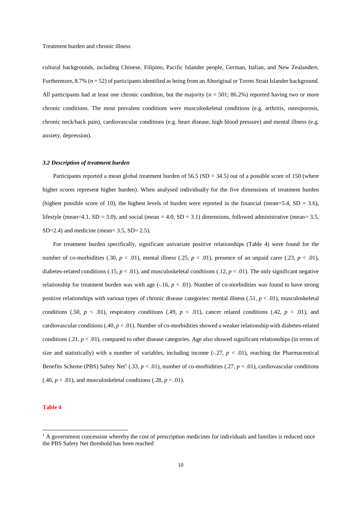cultural backgrounds, including Chinese, Filipino, Pacific Islander people, German, Italian, and New Zealanders. Furthermore, 8.7% ( $n = 52$ ) of participants identified as being from an Aboriginal or Torres Strait Islander background. All participants had at least one chronic condition, but the majority (*n* = 501; 86.2%) reported having two or more chronic conditions. The most prevalent conditions were musculoskeletal conditions (e.g. arthritis, osteoporosis, chronic neck/back pain), cardiovascular conditions (e.g. heart disease, high blood pressure) and mental illness (e.g. anxiety, depression).

### *3.2 Description of treatment burden*

Participants reported a mean global treatment burden of  $56.5$  (SD = 34.5) out of a possible score of 150 (where higher scores represent higher burden). When analysed individually for the five dimensions of treatment burden (highest possible score of 10), the highest levels of burden were reported in the financial (mean=5.4, SD = 3.6), lifestyle (mean=4.1, SD = 3.0), and social (mean = 4.0, SD = 3.1) dimensions, followed administrative (mean= 3.5,  $SD=2.4$ ) and medicine (mean= 3.5,  $SD= 2.5$ ).

For treatment burden specifically, significant univariate positive relationships (Table 4) were found for the number of co-morbidities (.30,  $p < .01$ ), mental illness (.25,  $p < .01$ ), presence of an unpaid carer (.23,  $p < .01$ ), diabetes-related conditions (.15,  $p < .01$ ), and musculoskeletal conditions (.12,  $p < .01$ ). The only significant negative relationship for treatment burden was with age  $(-16, p < .01)$ . Number of co-morbidities was found to have strong positive relationships with various types of chronic disease categories: mental illness (.51, *p* < .01), musculoskeletal conditions (.50,  $p < .01$ ), respiratory conditions (.49,  $p < .01$ ), cancer related conditions (.42,  $p < .01$ ), and cardiovascular conditions (.40, *p* < .01). Number of co-morbidities showed a weaker relationship with diabetes-related conditions  $(.21, p < .01)$ , compared to other disease categories. Age also showed significant relationships (in terms of size and statistically) with a number of variables, including income  $(-.27, p < .01)$ , reaching the Pharmaceutical Benefits Scheme (PBS) Safety Net<sup>1</sup> (.33,  $p < .01$ ), number of co-morbidities (.27,  $p < .01$ ), cardiovascular conditions  $(.46, p < .01)$ , and musculoskeletal conditions  $(.28, p < .01)$ .

## **Table 4**

-

<sup>&</sup>lt;sup>1</sup> A government concession whereby the cost of prescription medicines for individuals and families is reduced once the PBS Safety Net threshold has been reached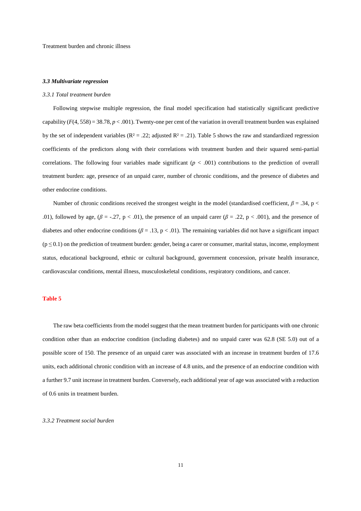#### *3.3 Multivariate regression*

#### *3.3.1 Total treatment burden*

Following stepwise multiple regression, the final model specification had statistically significant predictive capability  $(F(4, 558) = 38.78, p < .001)$ . Twenty-one per cent of the variation in overall treatment burden was explained by the set of independent variables ( $R^2 = .22$ ; adjusted  $R^2 = .21$ ). Table 5 shows the raw and standardized regression coefficients of the predictors along with their correlations with treatment burden and their squared semi-partial correlations. The following four variables made significant  $(p < .001)$  contributions to the prediction of overall treatment burden: age, presence of an unpaid carer, number of chronic conditions, and the presence of diabetes and other endocrine conditions.

Number of chronic conditions received the strongest weight in the model (standardised coefficient,  $\beta$  = .34, p < .01), followed by age, ( $\beta$  = -.27, p < .01), the presence of an unpaid carer ( $\beta$  = .22, p < .001), and the presence of diabetes and other endocrine conditions ( $\beta = .13$ ,  $p < .01$ ). The remaining variables did not have a significant impact  $(p \le 0.1)$  on the prediction of treatment burden: gender, being a carer or consumer, marital status, income, employment status, educational background, ethnic or cultural background, government concession, private health insurance, cardiovascular conditions, mental illness, musculoskeletal conditions, respiratory conditions, and cancer.

## **Table 5**

The raw beta coefficients from the model suggest that the mean treatment burden for participants with one chronic condition other than an endocrine condition (including diabetes) and no unpaid carer was 62.8 (SE 5.0) out of a possible score of 150. The presence of an unpaid carer was associated with an increase in treatment burden of 17.6 units, each additional chronic condition with an increase of 4.8 units, and the presence of an endocrine condition with a further 9.7 unit increase in treatment burden. Conversely, each additional year of age was associated with a reduction of 0.6 units in treatment burden.

*3.3.2 Treatment social burden*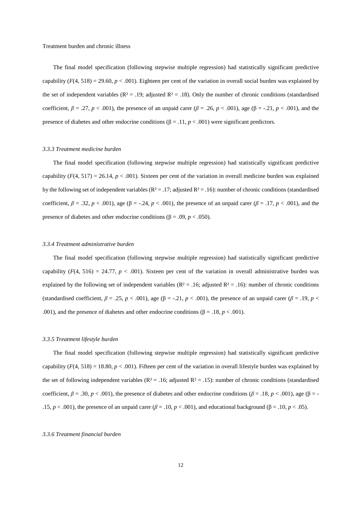The final model specification (following stepwise multiple regression) had statistically significant predictive capability  $(F(4, 518) = 29.60, p < .001)$ . Eighteen per cent of the variation in overall social burden was explained by the set of independent variables ( $R^2 = .19$ ; adjusted  $R^2 = .18$ ). Only the number of chronic conditions (standardised coefficient,  $β = .27$ ,  $p < .001$ ), the presence of an unpaid carer ( $β = .26$ ,  $p < .001$ ), age ( $β = .21$ ,  $p < .001$ ), and the presence of diabetes and other endocrine conditions ( $β = .11, p < .001$ ) were significant predictors.

## *3.3.3 Treatment medicine burden*

The final model specification (following stepwise multiple regression) had statistically significant predictive capability  $(F(4, 517) = 26.14, p < .001)$ . Sixteen per cent of the variation in overall medicine burden was explained by the following set of independent variables  $(R^2 = .17)$ ; adjusted  $R^2 = .16$ ): number of chronic conditions (standardised coefficient,  $\beta = .32$ ,  $p < .001$ ), age ( $\beta = -.24$ ,  $p < .001$ ), the presence of an unpaid carer ( $\beta = .17$ ,  $p < .001$ ), and the presence of diabetes and other endocrine conditions (β = .09, *p* < .050).

### *3.3.4 Treatment administrative burden*

The final model specification (following stepwise multiple regression) had statistically significant predictive capability  $(F(4, 516) = 24.77, p < .001)$ . Sixteen per cent of the variation in overall administrative burden was explained by the following set of independent variables ( $R^2 = .16$ ; adjusted  $R^2 = .16$ ): number of chronic conditions (standardised coefficient,  $\beta = .25$ ,  $p < .001$ ), age ( $\beta = .21$ ,  $p < .001$ ), the presence of an unpaid carer ( $\beta = .19$ ,  $p <$ .001), and the presence of diabetes and other endocrine conditions ( $\beta = .18$ ,  $p < .001$ ).

### *3.3.5 Treatment lifestyle burden*

The final model specification (following stepwise multiple regression) had statistically significant predictive capability  $(F(4, 518) = 18.80, p < .001)$ . Fifteen per cent of the variation in overall lifestyle burden was explained by the set of following independent variables ( $\mathbb{R}^2 = .16$ ; adjusted  $\mathbb{R}^2 = .15$ ): number of chronic conditions (standardised coefficient,  $\beta = .30$ ,  $p < .001$ ), the presence of diabetes and other endocrine conditions ( $\beta = .18$ ,  $p < .001$ ), age ( $\beta = -$ .15,  $p < .001$ ), the presence of an unpaid carer ( $\beta = .10$ ,  $p < .001$ ), and educational background ( $\beta = .10$ ,  $p < .05$ ).

# *3.3.6 Treatment financial burden*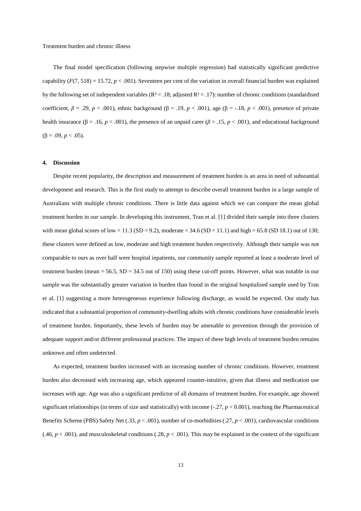The final model specification (following stepwise multiple regression) had statistically significant predictive capability  $(F(7, 518) = 15.72, p < .001)$ . Seventeen per cent of the variation in overall financial burden was explained by the following set of independent variables  $(R^2 = .18)$ ; adjusted  $R^2 = .17$ ): number of chronic conditions (standardised coefficient,  $\beta = .29$ ,  $p < .001$ ), ethnic background ( $\beta = .19$ ,  $p < .001$ ), age ( $\beta = -.18$ ,  $p < .001$ ), presence of private health insurance ( $\beta = .16$ ,  $p < .001$ ), the presence of an unpaid carer ( $\beta = .15$ ,  $p < .001$ ), and educational background (β = .09, *p* < .05).

### **4. Discussion**

Despite recent popularity, the description and measurement of treatment burden is an area in need of substantial development and research. This is the first study to attempt to describe overall treatment burden in a large sample of Australians with multiple chronic conditions. There is little data against which we can compare the mean global treatment burden in our sample. In developing this instrument, Tran et al. [1] divided their sample into three clusters with mean global scores of low = 11.3 (SD = 9.2), moderate = 34.6 (SD = 11.1) and high = 65.8 (SD 18.1) out of 130; these clusters were defined as low, moderate and high treatment burden respectively. Although their sample was not comparable to ours as over half were hospital inpatients, our community sample reported at least a moderate level of treatment burden (mean  $= 56.5$ , SD  $= 34.5$  out of 150) using these cut-off points. However, what was notable in our sample was the substantially greater variation in burden than found in the original hospitalised sample used by Tran et al. [1] suggesting a more heterogeneous experience following discharge, as would be expected. Our study has indicated that a substantial proportion of community-dwelling adults with chronic conditions have considerable levels of treatment burden. Importantly, these levels of burden may be amenable to prevention through the provision of adequate support and/or different professional practices. The impact of these high levels of treatment burden remains unknown and often undetected.

As expected, treatment burden increased with an increasing number of chronic conditions. However, treatment burden also decreased with increasing age, which appeared counter-intuitive, given that illness and medication use increases with age. Age was also a significant predictor of all domains of treatment burden. For example, age showed significant relationships (in terms of size and statistically) with income  $(-.27, p < 0.001)$ , reaching the Pharmaceutical Benefits Scheme (PBS) Safety Net (.33, *p* < .001), number of co-morbidities (.27, *p* < .001), cardiovascular conditions  $(0.46, p < .001)$ , and musculoskeletal conditions  $(0.28, p < .001)$ . This may be explained in the context of the significant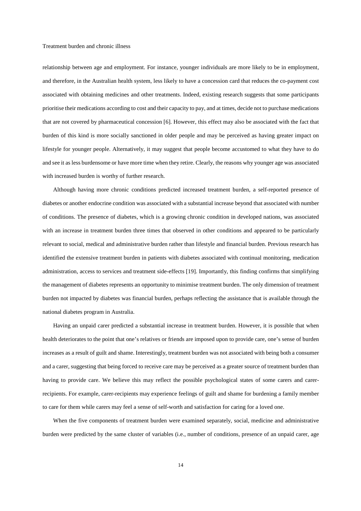relationship between age and employment. For instance, younger individuals are more likely to be in employment, and therefore, in the Australian health system, less likely to have a concession card that reduces the co-payment cost associated with obtaining medicines and other treatments. Indeed, existing research suggests that some participants prioritise their medications according to cost and their capacity to pay, and at times, decide not to purchase medications that are not covered by pharmaceutical concession [6]. However, this effect may also be associated with the fact that burden of this kind is more socially sanctioned in older people and may be perceived as having greater impact on lifestyle for younger people. Alternatively, it may suggest that people become accustomed to what they have to do and see it as less burdensome or have more time when they retire. Clearly, the reasons why younger age was associated with increased burden is worthy of further research.

Although having more chronic conditions predicted increased treatment burden, a self-reported presence of diabetes or another endocrine condition was associated with a substantial increase beyond that associated with number of conditions. The presence of diabetes, which is a growing chronic condition in developed nations, was associated with an increase in treatment burden three times that observed in other conditions and appeared to be particularly relevant to social, medical and administrative burden rather than lifestyle and financial burden. Previous research has identified the extensive treatment burden in patients with diabetes associated with continual monitoring, medication administration, access to services and treatment side-effects [19]. Importantly, this finding confirms that simplifying the management of diabetes represents an opportunity to minimise treatment burden. The only dimension of treatment burden not impacted by diabetes was financial burden, perhaps reflecting the assistance that is available through the national diabetes program in Australia.

Having an unpaid carer predicted a substantial increase in treatment burden. However, it is possible that when health deteriorates to the point that one's relatives or friends are imposed upon to provide care, one's sense of burden increases as a result of guilt and shame. Interestingly, treatment burden was not associated with being both a consumer and a carer, suggesting that being forced to receive care may be perceived as a greater source of treatment burden than having to provide care. We believe this may reflect the possible psychological states of some carers and carerrecipients. For example, carer-recipients may experience feelings of guilt and shame for burdening a family member to care for them while carers may feel a sense of self-worth and satisfaction for caring for a loved one.

When the five components of treatment burden were examined separately, social, medicine and administrative burden were predicted by the same cluster of variables (i.e., number of conditions, presence of an unpaid carer, age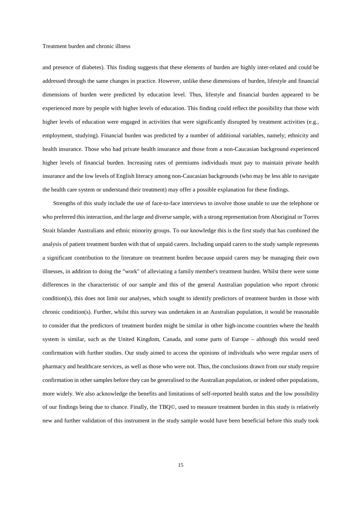and presence of diabetes). This finding suggests that these elements of burden are highly inter-related and could be addressed through the same changes in practice. However, unlike these dimensions of burden, lifestyle and financial dimensions of burden were predicted by education level. Thus, lifestyle and financial burden appeared to be experienced more by people with higher levels of education. This finding could reflect the possibility that those with higher levels of education were engaged in activities that were significantly disrupted by treatment activities (e.g., employment, studying). Financial burden was predicted by a number of additional variables, namely; ethnicity and health insurance. Those who had private health insurance and those from a non-Caucasian background experienced higher levels of financial burden. Increasing rates of premiums individuals must pay to maintain private health insurance and the low levels of English literacy among non-Caucasian backgrounds (who may be less able to navigate the health care system or understand their treatment) may offer a possible explanation for these findings.

Strengths of this study include the use of face-to-face interviews to involve those unable to use the telephone or who preferred this interaction, and the large and diverse sample, with a strong representation from Aboriginal or Torres Strait Islander Australians and ethnic minority groups. To our knowledge this is the first study that has combined the analysis of patient treatment burden with that of unpaid carers. Including unpaid carers to the study sample represents a significant contribution to the literature on treatment burden because unpaid carers may be managing their own illnesses, in addition to doing the "work" of alleviating a family member's treatment burden. Whilst there were some differences in the characteristic of our sample and this of the general Australian population who report chronic condition(s), this does not limit our analyses, which sought to identify predictors of treatment burden in those with chronic condition(s). Further, whilst this survey was undertaken in an Australian population, it would be reasonable to consider that the predictors of treatment burden might be similar in other high-income countries where the health system is similar, such as the United Kingdom, Canada, and some parts of Europe – although this would need confirmation with further studies. Our study aimed to access the opinions of individuals who were regular users of pharmacy and healthcare services, as well as those who were not. Thus, the conclusions drawn from our study require confirmation in other samples before they can be generalised to the Australian population, or indeed other populations, more widely. We also acknowledge the benefits and limitations of self-reported health status and the low possibility of our findings being due to chance. Finally, the TBQ©, used to measure treatment burden in this study is relatively new and further validation of this instrument in the study sample would have been beneficial before this study took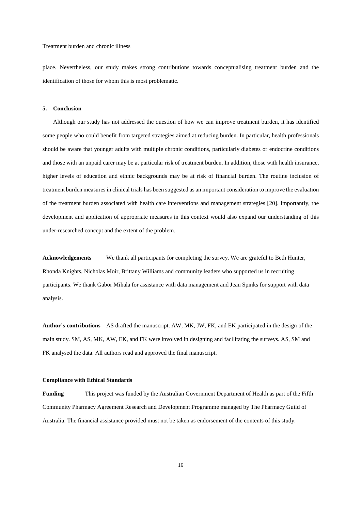place. Nevertheless, our study makes strong contributions towards conceptualising treatment burden and the identification of those for whom this is most problematic.

## **5. Conclusion**

Although our study has not addressed the question of how we can improve treatment burden, it has identified some people who could benefit from targeted strategies aimed at reducing burden. In particular, health professionals should be aware that younger adults with multiple chronic conditions, particularly diabetes or endocrine conditions and those with an unpaid carer may be at particular risk of treatment burden. In addition, those with health insurance, higher levels of education and ethnic backgrounds may be at risk of financial burden. The routine inclusion of treatment burden measures in clinical trials has been suggested as an important consideration to improve the evaluation of the treatment burden associated with health care interventions and management strategies [20]. Importantly, the development and application of appropriate measures in this context would also expand our understanding of this under-researched concept and the extent of the problem.

**Acknowledgements** We thank all participants for completing the survey. We are grateful to Beth Hunter, Rhonda Knights, Nicholas Moir, Brittany Williams and community leaders who supported us in recruiting participants. We thank Gabor Mihala for assistance with data management and Jean Spinks for support with data analysis.

**Author's contributions** AS drafted the manuscript. AW, MK, JW, FK, and EK participated in the design of the main study. SM, AS, MK, AW, EK, and FK were involved in designing and facilitating the surveys. AS, SM and FK analysed the data. All authors read and approved the final manuscript.

### **Compliance with Ethical Standards**

**Funding** This project was funded by the Australian Government Department of Health as part of the Fifth Community Pharmacy Agreement Research and Development Programme managed by The Pharmacy Guild of Australia. The financial assistance provided must not be taken as endorsement of the contents of this study.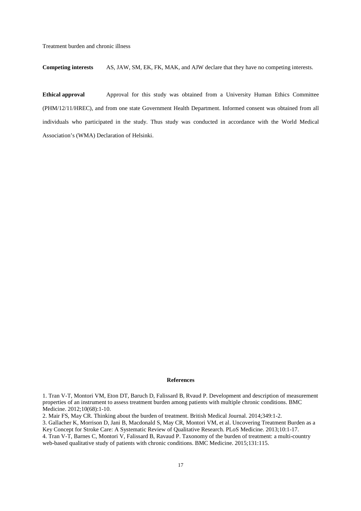**Competing interests** AS, JAW, SM, EK, FK, MAK, and AJW declare that they have no competing interests.

**Ethical approval** Approval for this study was obtained from a University Human Ethics Committee (PHM/12/11/HREC), and from one state Government Health Department. Informed consent was obtained from all individuals who participated in the study. Thus study was conducted in accordance with the World Medical Association's (WMA) Declaration of Helsinki.

#### **References**

1. Tran V-T, Montori VM, Eton DT, Baruch D, Falissard B, Rvaud P. Development and description of measurement properties of an instrument to assess treatment burden among patients with multiple chronic conditions. BMC Medicine. 2012;10(68):1-10.

2. Mair FS, May CR. Thinking about the burden of treatment. British Medical Journal. 2014;349:1-2.

3. Gallacher K, Morrison D, Jani B, Macdonald S, May CR, Montori VM, et al. Uncovering Treatment Burden as a Key Concept for Stroke Care: A Systematic Review of Qualitative Research. PLoS Medicine. 2013;10:1-17.

4. Tran V-T, Barnes C, Montori V, Falissard B, Ravaud P. Taxonomy of the burden of treatment: a multi-country web-based qualitative study of patients with chronic conditions. BMC Medicine. 2015;131:115.